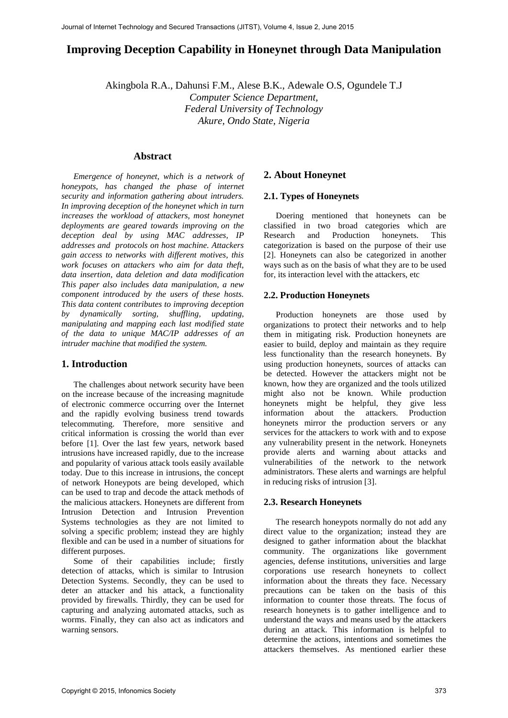# **Improving Deception Capability in Honeynet through Data Manipulation**

Akingbola R.A., Dahunsi F.M., Alese B.K., Adewale O.S, Ogundele T.J *Computer Science Department, Federal University of Technology Akure, Ondo State, Nigeria* 

# **Abstract**

*Emergence of honeynet, which is a network of honeypots, has changed the phase of internet security and information gathering about intruders. In improving deception of the honeynet which in turn increases the workload of attackers, most honeynet deployments are geared towards improving on the deception deal by using MAC addresses, IP addresses and protocols on host machine. Attackers gain access to networks with different motives, this work focuses on attackers who aim for data theft, data insertion, data deletion and data modification This paper also includes data manipulation, a new component introduced by the users of these hosts. This data content contributes to improving deception by dynamically sorting, shuffling, updating, manipulating and mapping each last modified state of the data to unique MAC/IP addresses of an intruder machine that modified the system.* 

# **1. Introduction**

The challenges about network security have been on the increase because of the increasing magnitude of electronic commerce occurring over the Internet and the rapidly evolving business trend towards telecommuting. Therefore, more sensitive and critical information is crossing the world than ever before [1]. Over the last few years, network based intrusions have increased rapidly, due to the increase and popularity of various attack tools easily available today. Due to this increase in intrusions, the concept of network Honeypots are being developed, which can be used to trap and decode the attack methods of the malicious attackers. Honeynets are different from Intrusion Detection and Intrusion Prevention Systems technologies as they are not limited to solving a specific problem; instead they are highly flexible and can be used in a number of situations for different purposes.

Some of their capabilities include; firstly detection of attacks, which is similar to Intrusion Detection Systems. Secondly, they can be used to deter an attacker and his attack, a functionality provided by firewalls. Thirdly, they can be used for capturing and analyzing automated attacks, such as worms. Finally, they can also act as indicators and warning sensors.

# **2. About Honeynet**

# **2.1. Types of Honeynets**

Doering mentioned that honeynets can be classified in two broad categories which are Research and Production honeynets. This categorization is based on the purpose of their use [2]. Honeynets can also be categorized in another ways such as on the basis of what they are to be used for, its interaction level with the attackers, etc

### **2.2. Production Honeynets**

Production honeynets are those used by organizations to protect their networks and to help them in mitigating risk. Production honeynets are easier to build, deploy and maintain as they require less functionality than the research honeynets. By using production honeynets, sources of attacks can be detected. However the attackers might not be known, how they are organized and the tools utilized might also not be known. While production honeynets might be helpful, they give less information about the attackers. Production honeynets mirror the production servers or any services for the attackers to work with and to expose any vulnerability present in the network. Honeynets provide alerts and warning about attacks and vulnerabilities of the network to the network administrators. These alerts and warnings are helpful in reducing risks of intrusion [3].

#### **2.3. Research Honeynets**

The research honeypots normally do not add any direct value to the organization; instead they are designed to gather information about the blackhat community. The organizations like government agencies, defense institutions, universities and large corporations use research honeynets to collect information about the threats they face. Necessary precautions can be taken on the basis of this information to counter those threats. The focus of research honeynets is to gather intelligence and to understand the ways and means used by the attackers during an attack. This information is helpful to determine the actions, intentions and sometimes the attackers themselves. As mentioned earlier these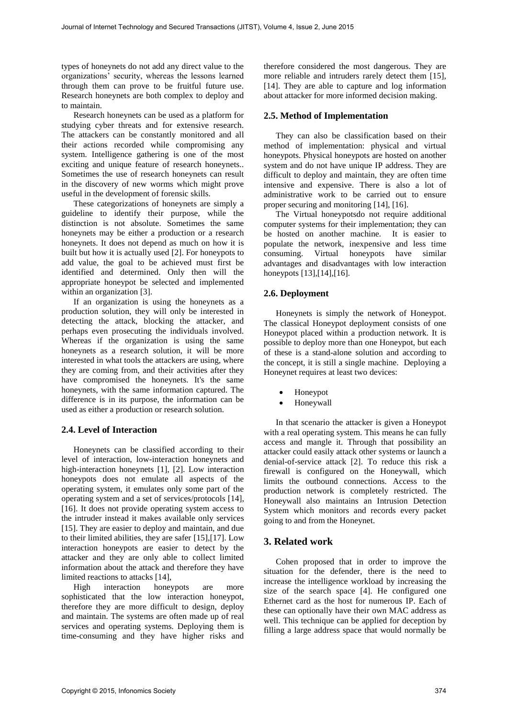types of honeynets do not add any direct value to the organizations' security, whereas the lessons learned through them can prove to be fruitful future use. Research honeynets are both complex to deploy and to maintain.

Research honeynets can be used as a platform for studying cyber threats and for extensive research. The attackers can be constantly monitored and all their actions recorded while compromising any system. Intelligence gathering is one of the most exciting and unique feature of research honeynets.. Sometimes the use of research honeynets can result in the discovery of new worms which might prove useful in the development of forensic skills.

These categorizations of honeynets are simply a guideline to identify their purpose, while the distinction is not absolute. Sometimes the same honeynets may be either a production or a research honeynets. It does not depend as much on how it is built but how it is actually used [2]. For honeypots to add value, the goal to be achieved must first be identified and determined. Only then will the appropriate honeypot be selected and implemented within an organization [3].

If an organization is using the honeynets as a production solution, they will only be interested in detecting the attack, blocking the attacker, and perhaps even prosecuting the individuals involved. Whereas if the organization is using the same honeynets as a research solution, it will be more interested in what tools the attackers are using, where they are coming from, and their activities after they have compromised the honeynets. It's the same honeynets, with the same information captured. The difference is in its purpose, the information can be used as either a production or research solution.

# **2.4. Level of Interaction**

Honeynets can be classified according to their level of interaction, low-interaction honeynets and high-interaction honeynets [1], [2]. Low interaction honeypots does not emulate all aspects of the operating system, it emulates only some part of the operating system and a set of services/protocols [14], [16]. It does not provide operating system access to the intruder instead it makes available only services [15]. They are easier to deploy and maintain, and due to their limited abilities, they are safer [15],[17]. Low interaction honeypots are easier to detect by the attacker and they are only able to collect limited information about the attack and therefore they have limited reactions to attacks [14],

High interaction honeypots are more sophisticated that the low interaction honeypot, therefore they are more difficult to design, deploy and maintain. The systems are often made up of real services and operating systems. Deploying them is time-consuming and they have higher risks and

therefore considered the most dangerous. They are more reliable and intruders rarely detect them [15], [14]. They are able to capture and log information about attacker for more informed decision making.

#### **2.5. Method of Implementation**

They can also be classification based on their method of implementation: physical and virtual honeypots. Physical honeypots are hosted on another system and do not have unique IP address. They are difficult to deploy and maintain, they are often time intensive and expensive. There is also a lot of administrative work to be carried out to ensure proper securing and monitoring [14], [16].

The Virtual honeypotsdo not require additional computer systems for their implementation; they can be hosted on another machine. It is easier to populate the network, inexpensive and less time consuming. Virtual honeypots have similar advantages and disadvantages with low interaction honeypots [13],[14],[16].

#### **2.6. Deployment**

Honeynets is simply the network of Honeypot. The classical Honeypot deployment consists of one Honeypot placed within a production network. It is possible to deploy more than one Honeypot, but each of these is a stand-alone solution and according to the concept, it is still a single machine. Deploying a Honeynet requires at least two devices:

- Honeypot
- Honeywall

In that scenario the attacker is given a Honeypot with a real operating system. This means he can fully access and mangle it. Through that possibility an attacker could easily attack other systems or launch a denial-of-service attack [2]. To reduce this risk a firewall is configured on the Honeywall, which limits the outbound connections. Access to the production network is completely restricted. The Honeywall also maintains an Intrusion Detection System which monitors and records every packet going to and from the Honeynet.

# **3. Related work**

Cohen proposed that in order to improve the situation for the defender, there is the need to increase the intelligence workload by increasing the size of the search space [4]. He configured one Ethernet card as the host for numerous IP. Each of these can optionally have their own MAC address as well. This technique can be applied for deception by filling a large address space that would normally be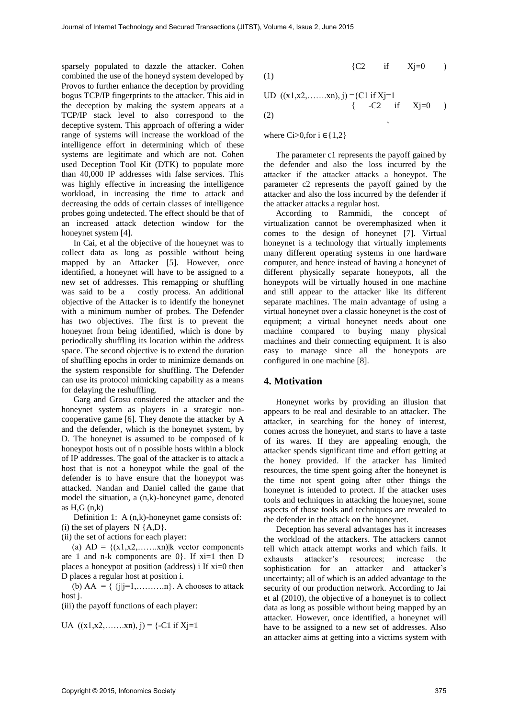sparsely populated to dazzle the attacker. Cohen combined the use of the honeyd system developed by Provos to further enhance the deception by providing bogus TCP/IP fingerprints to the attacker. This aid in the deception by making the system appears at a TCP/IP stack level to also correspond to the deceptive system. This approach of offering a wider range of systems will increase the workload of the intelligence effort in determining which of these systems are legitimate and which are not. Cohen used Deception Tool Kit (DTK) to populate more than 40,000 IP addresses with false services. This was highly effective in increasing the intelligence workload, in increasing the time to attack and decreasing the odds of certain classes of intelligence probes going undetected. The effect should be that of an increased attack detection window for the honeynet system [4].

In Cai, et al the objective of the honeynet was to collect data as long as possible without being mapped by an Attacker [5]. However, once identified, a honeynet will have to be assigned to a new set of addresses. This remapping or shuffling was said to be a costly process. An additional objective of the Attacker is to identify the honeynet with a minimum number of probes. The Defender has two objectives. The first is to prevent the honeynet from being identified, which is done by periodically shuffling its location within the address space. The second objective is to extend the duration of shuffling epochs in order to minimize demands on the system responsible for shuffling. The Defender can use its protocol mimicking capability as a means for delaying the reshuffling.

Garg and Grosu considered the attacker and the honeynet system as players in a strategic noncooperative game [6]. They denote the attacker by A and the defender, which is the honeynet system, by D. The honeynet is assumed to be composed of k honeypot hosts out of n possible hosts within a block of IP addresses. The goal of the attacker is to attack a host that is not a honeypot while the goal of the defender is to have ensure that the honeypot was attacked. Nandan and Daniel called the game that model the situation, a (n,k)-honeynet game, denoted as  $H,G(n,k)$ 

Definition 1: A (n,k)-honeynet game consists of: (i) the set of players  $N \{A, D\}$ .

(ii) the set of actions for each player:

(a)  $AD = \{(x1, x2, \ldots, xn) | k \text{ vector components}\}$ are 1 and n-k components are  $0$ . If  $xi=1$  then D places a honeypot at position (address) i If xi=0 then D places a regular host at position i.

(b)  $AA = \{j||j=1, \ldots, n\}$ . A chooses to attack host j.

(iii) the payoff functions of each player:

UA 
$$
((x1, x2, \dots, xn), j) = \{-C1 \text{ if } Xj=1\}
$$

$$
\begin{array}{cccc}\n\text{(1)} & & \text{(C2} & \text{if} & \text{Xj=0}) \\
\end{array}
$$

UD 
$$
((x1,x2,......xn), j) = {C1 \text{ if } Xj=1
$$
  
{ $-C2$  if  $Xj=0$  )

(2)

where Ci>0, for  $i \in \{1,2\}$ 

the contract of the contract of the contract of the contract of the contract of the contract of the contract o<br>The contract of the contract of the contract of the contract of the contract of the contract of the contract o

The parameter c1 represents the payoff gained by the defender and also the loss incurred by the attacker if the attacker attacks a honeypot. The parameter c2 represents the payoff gained by the attacker and also the loss incurred by the defender if the attacker attacks a regular host.

According to Rammidi, the concept of virtualization cannot be overemphasized when it comes to the design of honeynet [7]. Virtual honeynet is a technology that virtually implements many different operating systems in one hardware computer, and hence instead of having a honeynet of different physically separate honeypots, all the honeypots will be virtually housed in one machine and still appear to the attacker like its different separate machines. The main advantage of using a virtual honeynet over a classic honeynet is the cost of equipment; a virtual honeynet needs about one machine compared to buying many physical machines and their connecting equipment. It is also easy to manage since all the honeypots are configured in one machine [8].

#### **4. Motivation**

Honeynet works by providing an illusion that appears to be real and desirable to an attacker. The attacker, in searching for the honey of interest, comes across the honeynet, and starts to have a taste of its wares. If they are appealing enough, the attacker spends significant time and effort getting at the honey provided. If the attacker has limited resources, the time spent going after the honeynet is the time not spent going after other things the honeynet is intended to protect. If the attacker uses tools and techniques in attacking the honeynet, some aspects of those tools and techniques are revealed to the defender in the attack on the honeynet.

Deception has several advantages has it increases the workload of the attackers. The attackers cannot tell which attack attempt works and which fails. It exhausts attacker's resources; increase the sophistication for an attacker and attacker's uncertainty; all of which is an added advantage to the security of our production network. According to Jai et al (2010), the objective of a honeynet is to collect data as long as possible without being mapped by an attacker. However, once identified, a honeynet will have to be assigned to a new set of addresses. Also an attacker aims at getting into a victims system with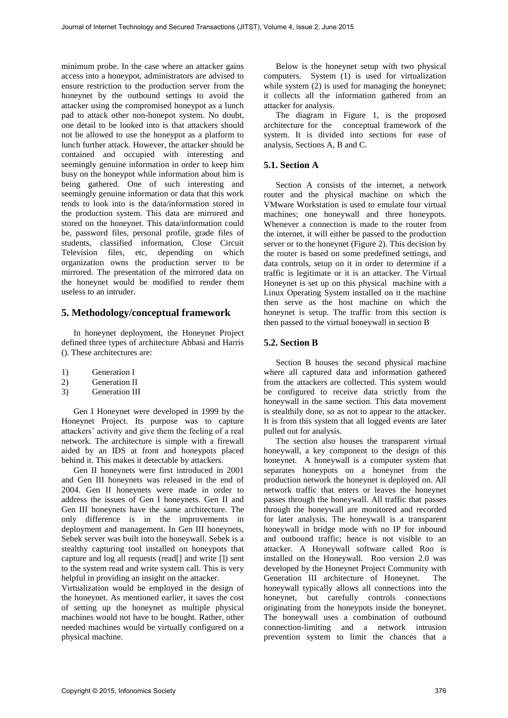minimum probe. In the case where an attacker gains access into a honeypot, administrators are advised to ensure restriction to the production server from the honeynet by the outbound settings to avoid the attacker using the compromised honeypot as a lunch pad to attack other non-honepot system. No doubt, one detail to be looked into is that attackers should not be allowed to use the honeypot as a platform to lunch further attack. However, the attacker should be contained and occupied with interesting and seemingly genuine information in order to keep him busy on the honeypot while information about him is being gathered. One of such interesting and seemingly genuine information or data that this work tends to look into is the data/information stored in the production system. This data are mirrored and stored on the honeynet. This data/information could be, password files, personal profile, grade files of students, classified information, Close Circuit Television files, etc, depending on which organization owns the production server to be mirrored. The presentation of the mirrored data on the honeynet would be modified to render them useless to an intruder.

# **5. Methodology/conceptual framework**

In honeynet deployment, the Honeynet Project defined three types of architecture Abbasi and Harris (). These architectures are:

- 1) Generation I
- 2) Generation II
- 3) Generation III

Gen I Honeynet were developed in 1999 by the Honeynet Project. Its purpose was to capture attackers' activity and give them the feeling of a real network. The architecture is simple with a firewall aided by an IDS at front and honeypots placed behind it. This makes it detectable by attackers.

Gen II honeynets were first introduced in 2001 and Gen III honeynets was released in the end of 2004. Gen II honeynets were made in order to address the issues of Gen I honeynets. Gen II and Gen III honeynets have the same architecture. The only difference is in the improvements in deployment and management. In Gen III honeynets, Sebek server was built into the honeywall. Sebek is a stealthy capturing tool installed on honeypots that capture and log all requests (read[] and write []) sent to the system read and write system call. This is very helpful in providing an insight on the attacker.

Virtualization would be employed in the design of the honeynet. As mentioned earlier, it saves the cost of setting up the honeynet as multiple physical machines would not have to be bought. Rather, other needed machines would be virtually configured on a physical machine.

Below is the honeynet setup with two physical computers. System (1) is used for virtualization while system  $(2)$  is used for managing the honeynet; it collects all the information gathered from an attacker for analysis.

The diagram in Figure 1, is the proposed architecture for the conceptual framework of the system. It is divided into sections for ease of analysis, Sections A, B and C.

### **5.1. Section A**

Section A consists of the internet, a network router and the physical machine on which the VMware Workstation is used to emulate four virtual machines; one honeywall and three honeypots. Whenever a connection is made to the router from the internet, it will either be passed to the production server or to the honeynet (Figure 2). This decision by the router is based on some predefined settings, and data controls, setup on it in order to determine if a traffic is legitimate or it is an attacker. The Virtual Honeynet is set up on this physical machine with a Linux Operating System installed on it the machine then serve as the host machine on which the honeynet is setup. The traffic from this section is then passed to the virtual honeywall in section B

# **5.2. Section B**

Section B houses the second physical machine where all captured data and information gathered from the attackers are collected. This system would be configured to receive data strictly from the honeywall in the same section. This data movement is stealthily done, so as not to appear to the attacker. It is from this system that all logged events are later pulled out for analysis.

The section also houses the transparent virtual honeywall, a key component to the design of this honeynet. A honeywall is a computer system that separates honeypots on a honeynet from the production network the honeynet is deployed on. All network traffic that enters or leaves the honeynet passes through the honeywall. All traffic that passes through the honeywall are monitored and recorded for later analysis. The honeywall is a transparent honeywall in bridge mode with no IP for inbound and outbound traffic; hence is not visible to an attacker. A Honeywall software called Roo is installed on the Honeywall. Roo version 2.0 was developed by the Honeynet Project Community with Generation III architecture of Honeynet. The honeywall typically allows all connections into the honeynet, but carefully controls connections originating from the honeypots inside the honeynet. The honeywall uses a combination of outbound connection-limiting and a network intrusion prevention system to limit the chances that a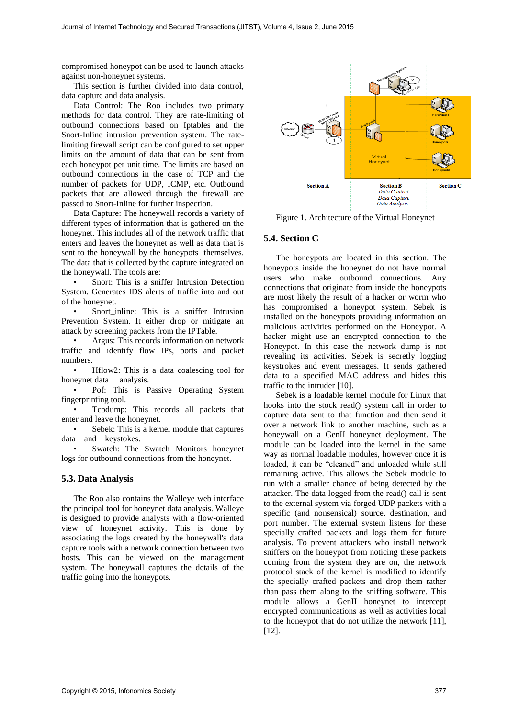compromised honeypot can be used to launch attacks against non-honeynet systems.

This section is further divided into data control, data capture and data analysis.

Data Control: The Roo includes two primary methods for data control. They are rate-limiting of outbound connections based on Iptables and the Snort-Inline intrusion prevention system. The ratelimiting firewall script can be configured to set upper limits on the amount of data that can be sent from each honeypot per unit time. The limits are based on outbound connections in the case of TCP and the number of packets for UDP, ICMP, etc. Outbound packets that are allowed through the firewall are passed to Snort-Inline for further inspection.

Data Capture: The honeywall records a variety of different types of information that is gathered on the honeynet. This includes all of the network traffic that enters and leaves the honeynet as well as data that is sent to the honeywall by the honeypots themselves. The data that is collected by the capture integrated on the honeywall. The tools are:

• Snort: This is a sniffer Intrusion Detection System. Generates IDS alerts of traffic into and out of the honeynet.

• Snort\_inline: This is a sniffer Intrusion Prevention System. It either drop or mitigate an attack by screening packets from the IPTable.

• Argus: This records information on network traffic and identify flow IPs, ports and packet numbers.

• Hillow2: This is a data coalescing tool for honeynet data analysis.

• Pof: This is Passive Operating System fingerprinting tool.

• Tcpdump: This records all packets that enter and leave the honeynet.

Sebek: This is a kernel module that captures data and keystokes.

Swatch: The Swatch Monitors honeynet logs for outbound connections from the honeynet.

#### **5.3. Data Analysis**

The Roo also contains the Walleye web interface the principal tool for honeynet data analysis. Walleye is designed to provide analysts with a flow-oriented view of honeynet activity. This is done by associating the logs created by the honeywall's data capture tools with a network connection between two hosts. This can be viewed on the management system. The honeywall captures the details of the traffic going into the honeypots.



Figure 1. Architecture of the Virtual Honeynet

### **5.4. Section C**

The honeypots are located in this section. The honeypots inside the honeynet do not have normal users who make outbound connections. Any connections that originate from inside the honeypots are most likely the result of a hacker or worm who has compromised a honeypot system. Sebek is installed on the honeypots providing information on malicious activities performed on the Honeypot. A hacker might use an encrypted connection to the Honeypot. In this case the network dump is not revealing its activities. Sebek is secretly logging keystrokes and event messages. It sends gathered data to a specified MAC address and hides this traffic to the intruder [10].

Sebek is a loadable kernel module for Linux that hooks into the stock read() system call in order to capture data sent to that function and then send it over a network link to another machine, such as a honeywall on a GenII honeynet deployment. The module can be loaded into the kernel in the same way as normal loadable modules, however once it is loaded, it can be "cleaned" and unloaded while still remaining active. This allows the Sebek module to run with a smaller chance of being detected by the attacker. The data logged from the read() call is sent to the external system via forged UDP packets with a specific (and nonsensical) source, destination, and port number. The external system listens for these specially crafted packets and logs them for future analysis. To prevent attackers who install network sniffers on the honeypot from noticing these packets coming from the system they are on, the network protocol stack of the kernel is modified to identify the specially crafted packets and drop them rather than pass them along to the sniffing software. This module allows a GenII honeynet to intercept encrypted communications as well as activities local to the honeypot that do not utilize the network [11], [12].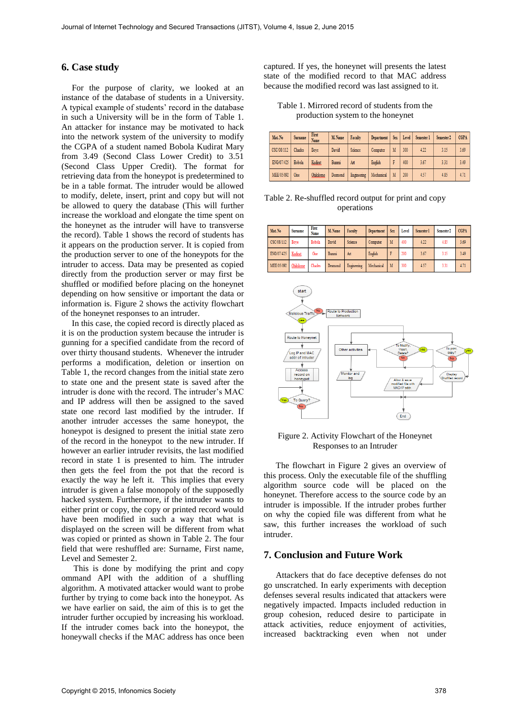### **6. Case study**

For the purpose of clarity, we looked at an instance of the database of students in a University. A typical example of students' record in the database in such a University will be in the form of Table 1. An attacker for instance may be motivated to hack into the network system of the university to modify the CGPA of a student named Bobola Kudirat Mary from 3.49 (Second Class Lower Credit) to 3.51 (Second Class Upper Credit). The format for retrieving data from the honeypot is predetermined to be in a table format. The intruder would be allowed to modify, delete, insert, print and copy but will not be allowed to query the database (This will further increase the workload and elongate the time spent on the honeynet as the intruder will have to transverse the record). Table 1 shows the record of students has it appears on the production server. It is copied from the production server to one of the honeypots for the intruder to access. Data may be presented as copied directly from the production server or may first be shuffled or modified before placing on the honeynet depending on how sensitive or important the data or information is. Figure 2 shows the activity flowchart of the honeynet responses to an intruder.

In this case, the copied record is directly placed as it is on the production system because the intruder is gunning for a specified candidate from the record of over thirty thousand students. Whenever the intruder performs a modification, deletion or insertion on Table 1, the record changes from the initial state zero to state one and the present state is saved after the intruder is done with the record. The intruder's MAC and IP address will then be assigned to the saved state one record last modified by the intruder. If another intruder accesses the same honeypot, the honeypot is designed to present the initial state zero of the record in the honeypot to the new intruder. If however an earlier intruder revisits, the last modified record in state 1 is presented to him. The intruder then gets the feel from the pot that the record is exactly the way he left it. This implies that every intruder is given a false monopoly of the supposedly hacked system. Furthermore, if the intruder wants to either print or copy, the copy or printed record would have been modified in such a way that what is displayed on the screen will be different from what was copied or printed as shown in Table 2. The four field that were reshuffled are: Surname, First name, Level and Semester 2.

This is done by modifying the print and copy ommand API with the addition of a shuffling algorithm. A motivated attacker would want to probe further by trying to come back into the honeypot. As we have earlier on said, the aim of this is to get the intruder further occupied by increasing his workload. If the intruder comes back into the honeypot, the honeywall checks if the MAC address has once been captured. If yes, the honeynet will presents the latest state of the modified record to that MAC address because the modified record was last assigned to it.

### Table 1. Mirrored record of students from the production system to the honeynet

| Mat. No    | Surname     | First<br>Name | M. Name      | Faculty     | <b>Department</b> |   | Sex Level | Semester 1 | Semester 2 | <b>CGPA</b> |
|------------|-------------|---------------|--------------|-------------|-------------------|---|-----------|------------|------------|-------------|
| CSC/08/112 | Charles     | Bove          | <b>David</b> | Science     | Computer          | M | 300       | 4.22       | 3.15       | 3.69        |
| ENG/07/425 | Bobola      | Kudirat       | <b>Bunmi</b> | Art         | English           |   | 400       | 3.67       | 3.31       | 3.49        |
| MEE/05/092 | <b>Oise</b> | Ohikilome     | Desmond      | Engineering | Mechanical        | M | 200       | 4.57       | 4.85       | 4.71        |

Table 2. Re-shuffled record output for print and copy operations

| Mat. No    | <b>Surname</b> | First<br>Name | M. Name      | <b>Faculty</b> | <b>Department</b> | <b>Sex</b> | Level | Semester 1 | Semester <sub>2</sub> | <b>CGPA</b> |
|------------|----------------|---------------|--------------|----------------|-------------------|------------|-------|------------|-----------------------|-------------|
| CSC/08/112 | Bove           | Bobola        | David        | Science        | Computer          | M          | 400   | 4.22       | 4.85                  | 3.69        |
| ENG/07/425 | Kudirat        | Oise          | <b>Bunmi</b> | Art            | English           |            | 200   | 3.67       | 3.15                  | 3.49        |
| MEE/05/092 | Ohikilome      | Charles       | Desmond      | Engineering    | Mechanical        | M          | 300   | 4.57       | 3.31                  | 4.71        |



#### Figure 2. Activity Flowchart of the Honeynet Responses to an Intruder

The flowchart in Figure 2 gives an overview of this process. Only the executable file of the shuffling algorithm source code will be placed on the honeynet. Therefore access to the source code by an intruder is impossible. If the intruder probes further on why the copied file was different from what he saw, this further increases the workload of such intruder.

# **7. Conclusion and Future Work**

Attackers that do face deceptive defenses do not go unscratched. In early experiments with deception defenses several results indicated that attackers were negatively impacted. Impacts included reduction in group cohesion, reduced desire to participate in attack activities, reduce enjoyment of activities, increased backtracking even when not under